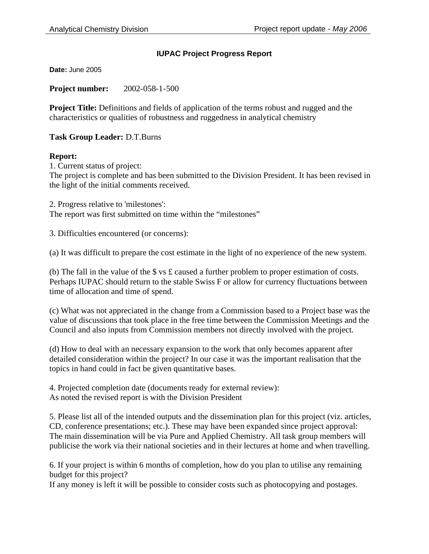## **IUPAC Project Progress Report**

**Date:** June 2005

**Project number:** 2002-058-1-500

**Project Title:** Definitions and fields of application of the terms robust and rugged and the characteristics or qualities of robustness and ruggedness in analytical chemistry

**Task Group Leader:** D.T.Burns

## **Report:**

1. Current status of project: The project is complete and has been submitted to the Division President. It has been revised in the light of the initial comments received.

2. Progress relative to 'milestones': The report was first submitted on time within the "milestones"

3. Difficulties encountered (or concerns):

(a) It was difficult to prepare the cost estimate in the light of no experience of the new system.

(b) The fall in the value of the  $\frac{1}{2}$  vs £ caused a further problem to proper estimation of costs. Perhaps IUPAC should return to the stable Swiss F or allow for currency fluctuations between time of allocation and time of spend.

(c) What was not appreciated in the change from a Commission based to a Project base was the value of discussions that took place in the free time between the Commission Meetings and the Council and also inputs from Commission members not directly involved with the project.

(d) How to deal with an necessary expansion to the work that only becomes apparent after detailed consideration within the project? In our case it was the important realisation that the topics in hand could in fact be given quantitative bases.

4. Projected completion date (documents ready for external review): As noted the revised report is with the Division President

5. Please list all of the intended outputs and the dissemination plan for this project (viz. articles, CD, conference presentations; etc.). These may have been expanded since project approval: The main dissemination will be via Pure and Applied Chemistry. All task group members will publicise the work via their national societies and in their lectures at home and when travelling.

6. If your project is within 6 months of completion, how do you plan to utilise any remaining budget for this project?

If any money is left it will be possible to consider costs such as photocopying and postages.